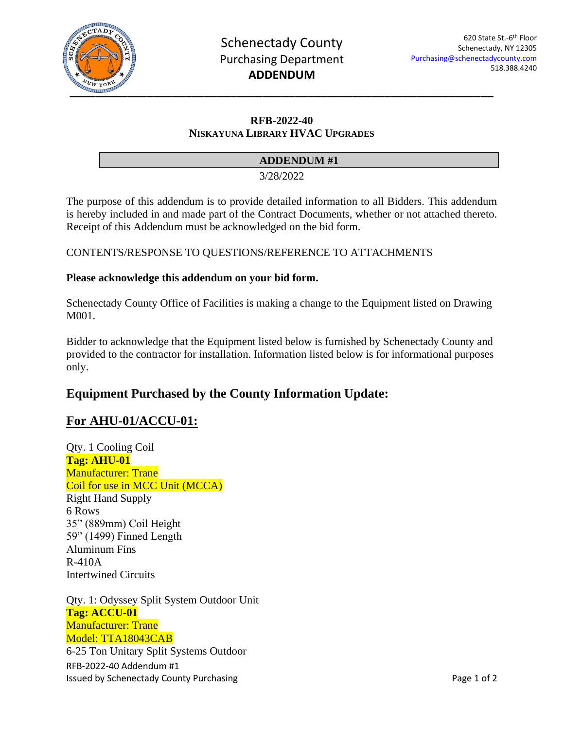

### **RFB-2022-40 NISKAYUNA LIBRARY HVAC UPGRADES**

### **ADDENDUM #1**

3/28/2022

The purpose of this addendum is to provide detailed information to all Bidders. This addendum is hereby included in and made part of the Contract Documents, whether or not attached thereto. Receipt of this Addendum must be acknowledged on the bid form.

CONTENTS/RESPONSE TO QUESTIONS/REFERENCE TO ATTACHMENTS

#### **Please acknowledge this addendum on your bid form.**

Schenectady County Office of Facilities is making a change to the Equipment listed on Drawing M001.

Bidder to acknowledge that the Equipment listed below is furnished by Schenectady County and provided to the contractor for installation. Information listed below is for informational purposes only.

# **Equipment Purchased by the County Information Update:**

## **For AHU-01/ACCU-01:**

Qty. 1 Cooling Coil **Tag: AHU-01** Manufacturer: Trane Coil for use in MCC Unit (MCCA) Right Hand Supply 6 Rows 35" (889mm) Coil Height 59" (1499) Finned Length Aluminum Fins R-410A Intertwined Circuits

RFB-2022-40 Addendum #1 Issued by Schenectady County Purchasing **Page 1 of 2** and 2 Qty. 1: Odyssey Split System Outdoor Unit **Tag: ACCU-01** Manufacturer: Trane Model: TTA18043CAB 6-25 Ton Unitary Split Systems Outdoor